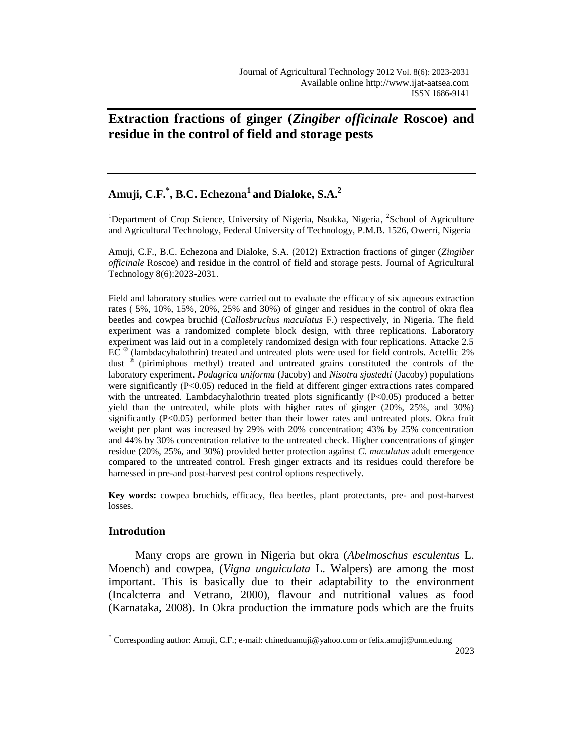# **Extraction fractions of ginger (***Zingiber officinale* **Roscoe) and residue in the control of field and storage pests**

## **Amuji, C.F.\* , B.C. Echezona<sup>1</sup>and Dialoke, S.A. 2**

<sup>1</sup>Department of Crop Science, University of Nigeria, Nsukka, Nigeria, <sup>2</sup>School of Agriculture and Agricultural Technology, Federal University of Technology, P.M.B. 1526, Owerri, Nigeria

Amuji, C.F., B.C. Echezona and Dialoke, S.A. (2012) Extraction fractions of ginger (*Zingiber officinale* Roscoe) and residue in the control of field and storage pests. Journal of Agricultural Technology 8(6):2023-2031.

Field and laboratory studies were carried out to evaluate the efficacy of six aqueous extraction rates ( 5%, 10%, 15%, 20%, 25% and 30%) of ginger and residues in the control of okra flea beetles and cowpea bruchid (*Callosbruchus maculatus* F.) respectively, in Nigeria. The field experiment was a randomized complete block design, with three replications. Laboratory experiment was laid out in a completely randomized design with four replications. Attacke 2.5  $EC^{\circledast}$  (lambdacyhalothrin) treated and untreated plots were used for field controls. Actellic 2% dust ® (pirimiphous methyl) treated and untreated grains constituted the controls of the laboratory experiment. *Podagrica uniforma* (Jacoby) and *Nisotra sjostedti* (Jacoby) populations were significantly (P<0.05) reduced in the field at different ginger extractions rates compared with the untreated. Lambdacyhalothrin treated plots significantly  $(P<0.05)$  produced a better yield than the untreated, while plots with higher rates of ginger (20%, 25%, and 30%) significantly  $(P<0.05)$  performed better than their lower rates and untreated plots. Okra fruit weight per plant was increased by 29% with 20% concentration; 43% by 25% concentration and 44% by 30% concentration relative to the untreated check. Higher concentrations of ginger residue (20%, 25%, and 30%) provided better protection against *C. maculatus* adult emergence compared to the untreated control. Fresh ginger extracts and its residues could therefore be harnessed in pre-and post-harvest pest control options respectively.

**Key words:** cowpea bruchids, efficacy, flea beetles, plant protectants, pre- and post-harvest losses.

## **Introdution**

 $\overline{a}$ 

Many crops are grown in Nigeria but okra (*Abelmoschus esculentus* L. Moench) and cowpea, (*Vigna unguiculata* L. Walpers) are among the most important. This is basically due to their adaptability to the environment (Incalcterra and Vetrano, 2000), flavour and nutritional values as food (Karnataka, 2008). In Okra production the immature pods which are the fruits

<sup>\*</sup> Corresponding author: Amuji, C.F.; e-mail: chineduamuji@yahoo.com or felix.amuji@unn.edu.ng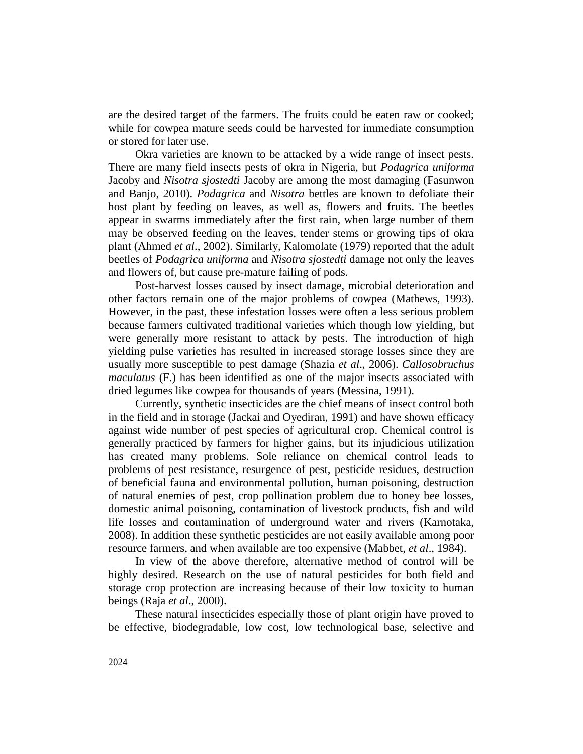are the desired target of the farmers. The fruits could be eaten raw or cooked; while for cowpea mature seeds could be harvested for immediate consumption or stored for later use.

Okra varieties are known to be attacked by a wide range of insect pests. There are many field insects pests of okra in Nigeria, but *Podagrica uniforma* Jacoby and *Nisotra sjostedti* Jacoby are among the most damaging (Fasunwon and Banjo, 2010). *Podagrica* and *Nisotra* bettles are known to defoliate their host plant by feeding on leaves, as well as, flowers and fruits. The beetles appear in swarms immediately after the first rain, when large number of them may be observed feeding on the leaves, tender stems or growing tips of okra plant (Ahmed *et al*., 2002). Similarly, Kalomolate (1979) reported that the adult beetles of *Podagrica uniforma* and *Nisotra sjostedti* damage not only the leaves and flowers of, but cause pre-mature failing of pods.

Post-harvest losses caused by insect damage, microbial deterioration and other factors remain one of the major problems of cowpea (Mathews, 1993). However, in the past, these infestation losses were often a less serious problem because farmers cultivated traditional varieties which though low yielding, but were generally more resistant to attack by pests. The introduction of high yielding pulse varieties has resulted in increased storage losses since they are usually more susceptible to pest damage (Shazia *et al*., 2006). *Callosobruchus maculatus* (F.) has been identified as one of the major insects associated with dried legumes like cowpea for thousands of years (Messina, 1991).

Currently, synthetic insecticides are the chief means of insect control both in the field and in storage (Jackai and Oyediran, 1991) and have shown efficacy against wide number of pest species of agricultural crop. Chemical control is generally practiced by farmers for higher gains, but its injudicious utilization has created many problems. Sole reliance on chemical control leads to problems of pest resistance, resurgence of pest, pesticide residues, destruction of beneficial fauna and environmental pollution, human poisoning, destruction of natural enemies of pest, crop pollination problem due to honey bee losses, domestic animal poisoning, contamination of livestock products, fish and wild life losses and contamination of underground water and rivers (Karnotaka, 2008). In addition these synthetic pesticides are not easily available among poor resource farmers, and when available are too expensive (Mabbet, *et al*., 1984).

In view of the above therefore, alternative method of control will be highly desired. Research on the use of natural pesticides for both field and storage crop protection are increasing because of their low toxicity to human beings (Raja *et al*., 2000).

These natural insecticides especially those of plant origin have proved to be effective, biodegradable, low cost, low technological base, selective and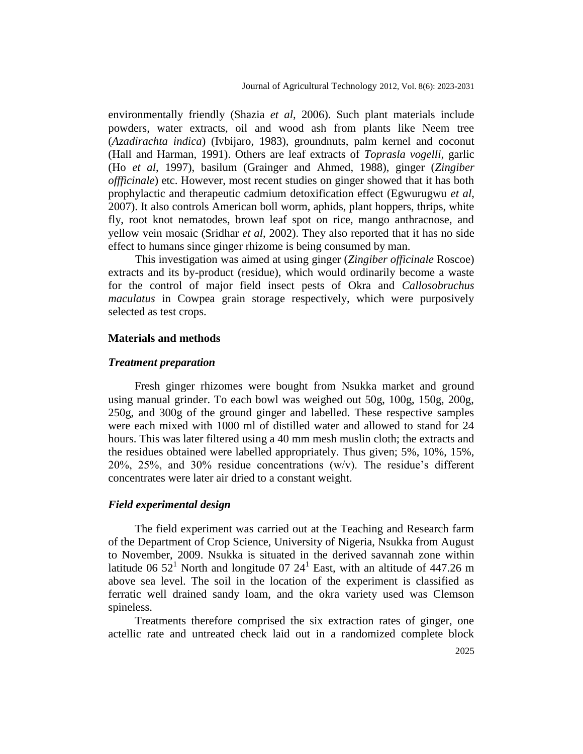environmentally friendly (Shazia *et al*, 2006). Such plant materials include powders, water extracts, oil and wood ash from plants like Neem tree (*Azadirachta indica*) (Ivbijaro, 1983), groundnuts, palm kernel and coconut (Hall and Harman, 1991). Others are leaf extracts of *Toprasla vogelli*, garlic (Ho *et al*, 1997), basilum (Grainger and Ahmed, 1988), ginger (*Zingiber offficinale*) etc. However, most recent studies on ginger showed that it has both prophylactic and therapeutic cadmium detoxification effect (Egwurugwu *et al*, 2007). It also controls American boll worm, aphids, plant hoppers, thrips, white fly, root knot nematodes, brown leaf spot on rice, mango anthracnose, and yellow vein mosaic (Sridhar *et al*, 2002). They also reported that it has no side effect to humans since ginger rhizome is being consumed by man.

This investigation was aimed at using ginger (*Zingiber officinale* Roscoe) extracts and its by-product (residue), which would ordinarily become a waste for the control of major field insect pests of Okra and *Callosobruchus maculatus* in Cowpea grain storage respectively, which were purposively selected as test crops.

#### **Materials and methods**

#### *Treatment preparation*

Fresh ginger rhizomes were bought from Nsukka market and ground using manual grinder. To each bowl was weighed out 50g, 100g, 150g, 200g, 250g, and 300g of the ground ginger and labelled. These respective samples were each mixed with 1000 ml of distilled water and allowed to stand for 24 hours. This was later filtered using a 40 mm mesh muslin cloth; the extracts and the residues obtained were labelled appropriately. Thus given; 5%, 10%, 15%, 20%, 25%, and 30% residue concentrations (w/v). The residue's different concentrates were later air dried to a constant weight.

#### *Field experimental design*

The field experiment was carried out at the Teaching and Research farm of the Department of Crop Science, University of Nigeria, Nsukka from August to November, 2009. Nsukka is situated in the derived savannah zone within latitude 06  $52^1$  North and longitude 07  $24^1$  East, with an altitude of 447.26 m above sea level. The soil in the location of the experiment is classified as ferratic well drained sandy loam, and the okra variety used was Clemson spineless.

Treatments therefore comprised the six extraction rates of ginger, one actellic rate and untreated check laid out in a randomized complete block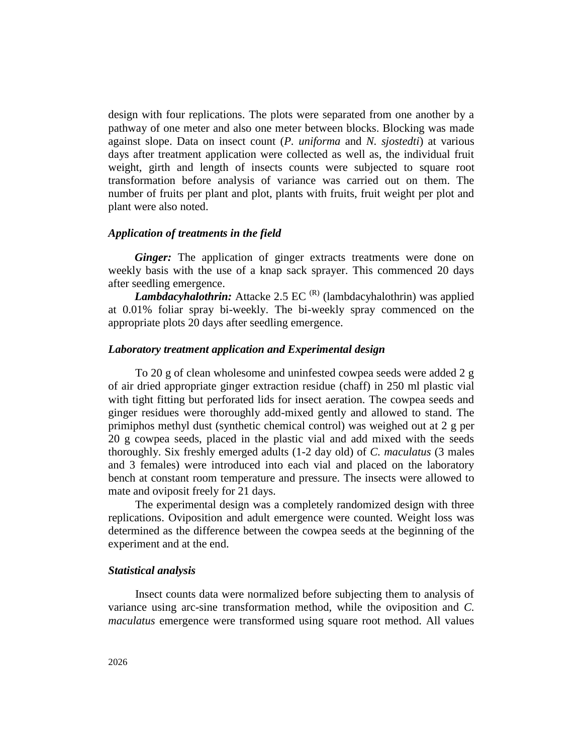design with four replications. The plots were separated from one another by a pathway of one meter and also one meter between blocks. Blocking was made against slope. Data on insect count (*P. uniforma* and *N. sjostedti*) at various days after treatment application were collected as well as, the individual fruit weight, girth and length of insects counts were subjected to square root transformation before analysis of variance was carried out on them. The number of fruits per plant and plot, plants with fruits, fruit weight per plot and plant were also noted.

#### *Application of treatments in the field*

*Ginger:* The application of ginger extracts treatments were done on weekly basis with the use of a knap sack sprayer. This commenced 20 days after seedling emergence.

*Lambdacyhalothrin:* Attacke 2.5 EC<sup>(R)</sup> (lambdacyhalothrin) was applied at 0.01% foliar spray bi-weekly. The bi-weekly spray commenced on the appropriate plots 20 days after seedling emergence.

### *Laboratory treatment application and Experimental design*

To 20 g of clean wholesome and uninfested cowpea seeds were added 2 g of air dried appropriate ginger extraction residue (chaff) in 250 ml plastic vial with tight fitting but perforated lids for insect aeration. The cowpea seeds and ginger residues were thoroughly add-mixed gently and allowed to stand. The primiphos methyl dust (synthetic chemical control) was weighed out at 2 g per 20 g cowpea seeds, placed in the plastic vial and add mixed with the seeds thoroughly. Six freshly emerged adults (1-2 day old) of *C. maculatus* (3 males and 3 females) were introduced into each vial and placed on the laboratory bench at constant room temperature and pressure. The insects were allowed to mate and oviposit freely for 21 days.

The experimental design was a completely randomized design with three replications. Oviposition and adult emergence were counted. Weight loss was determined as the difference between the cowpea seeds at the beginning of the experiment and at the end.

#### *Statistical analysis*

Insect counts data were normalized before subjecting them to analysis of variance using arc-sine transformation method, while the oviposition and *C. maculatus* emergence were transformed using square root method. All values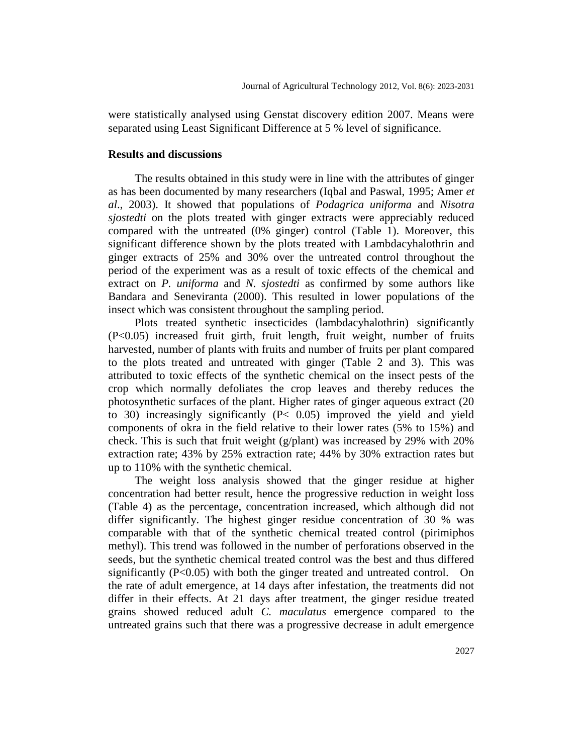were statistically analysed using Genstat discovery edition 2007. Means were separated using Least Significant Difference at 5 % level of significance.

#### **Results and discussions**

The results obtained in this study were in line with the attributes of ginger as has been documented by many researchers (Iqbal and Paswal, 1995; Amer *et al*., 2003). It showed that populations of *Podagrica uniforma* and *Nisotra sjostedti* on the plots treated with ginger extracts were appreciably reduced compared with the untreated (0% ginger) control (Table 1). Moreover, this significant difference shown by the plots treated with Lambdacyhalothrin and ginger extracts of 25% and 30% over the untreated control throughout the period of the experiment was as a result of toxic effects of the chemical and extract on *P. uniforma* and *N. sjostedti* as confirmed by some authors like Bandara and Seneviranta (2000). This resulted in lower populations of the insect which was consistent throughout the sampling period.

Plots treated synthetic insecticides (lambdacyhalothrin) significantly (P<0.05) increased fruit girth, fruit length, fruit weight, number of fruits harvested, number of plants with fruits and number of fruits per plant compared to the plots treated and untreated with ginger (Table 2 and 3). This was attributed to toxic effects of the synthetic chemical on the insect pests of the crop which normally defoliates the crop leaves and thereby reduces the photosynthetic surfaces of the plant. Higher rates of ginger aqueous extract (20 to 30) increasingly significantly (P< 0.05) improved the yield and yield components of okra in the field relative to their lower rates (5% to 15%) and check. This is such that fruit weight ( $g$ /plant) was increased by 29% with 20% extraction rate; 43% by 25% extraction rate; 44% by 30% extraction rates but up to 110% with the synthetic chemical.

The weight loss analysis showed that the ginger residue at higher concentration had better result, hence the progressive reduction in weight loss (Table 4) as the percentage, concentration increased, which although did not differ significantly. The highest ginger residue concentration of 30 % was comparable with that of the synthetic chemical treated control (pirimiphos methyl). This trend was followed in the number of perforations observed in the seeds, but the synthetic chemical treated control was the best and thus differed significantly (P<0.05) with both the ginger treated and untreated control. On the rate of adult emergence, at 14 days after infestation, the treatments did not differ in their effects. At 21 days after treatment, the ginger residue treated grains showed reduced adult *C. maculatus* emergence compared to the untreated grains such that there was a progressive decrease in adult emergence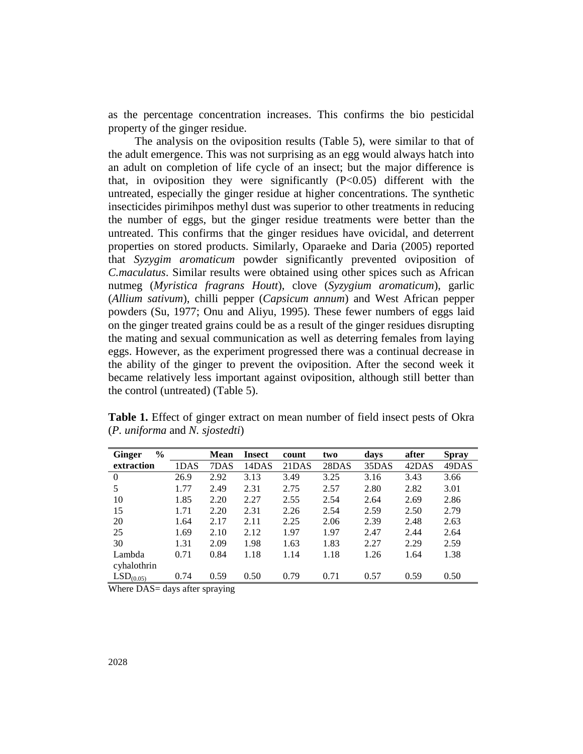as the percentage concentration increases. This confirms the bio pesticidal property of the ginger residue.

The analysis on the oviposition results (Table 5), were similar to that of the adult emergence. This was not surprising as an egg would always hatch into an adult on completion of life cycle of an insect; but the major difference is that, in oviposition they were significantly  $(P<0.05)$  different with the untreated, especially the ginger residue at higher concentrations. The synthetic insecticides pirimihpos methyl dust was superior to other treatments in reducing the number of eggs, but the ginger residue treatments were better than the untreated. This confirms that the ginger residues have ovicidal, and deterrent properties on stored products. Similarly, Oparaeke and Daria (2005) reported that *Syzygim aromaticum* powder significantly prevented oviposition of *C.maculatus*. Similar results were obtained using other spices such as African nutmeg (*Myristica fragrans Houtt*), clove (*Syzygium aromaticum*), garlic (*Allium sativum*), chilli pepper (*Capsicum annum*) and West African pepper powders (Su, 1977; Onu and Aliyu, 1995). These fewer numbers of eggs laid on the ginger treated grains could be as a result of the ginger residues disrupting the mating and sexual communication as well as deterring females from laying eggs. However, as the experiment progressed there was a continual decrease in the ability of the ginger to prevent the oviposition. After the second week it became relatively less important against oviposition, although still better than the control (untreated) (Table 5).

| $\frac{6}{9}$<br><b>Ginger</b> |      | <b>Mean</b> | Insect | count | two   | days  | after | <b>Spray</b> |
|--------------------------------|------|-------------|--------|-------|-------|-------|-------|--------------|
| extraction                     | 1DAS | 7DAS        | 14DAS  | 21DAS | 28DAS | 35DAS | 42DAS | 49DAS        |
| $\overline{0}$                 | 26.9 | 2.92        | 3.13   | 3.49  | 3.25  | 3.16  | 3.43  | 3.66         |
| 5                              | 1.77 | 2.49        | 2.31   | 2.75  | 2.57  | 2.80  | 2.82  | 3.01         |
| 10                             | 1.85 | 2.20        | 2.27   | 2.55  | 2.54  | 2.64  | 2.69  | 2.86         |
| 15                             | 1.71 | 2.20        | 2.31   | 2.26  | 2.54  | 2.59  | 2.50  | 2.79         |
| 20                             | 1.64 | 2.17        | 2.11   | 2.25  | 2.06  | 2.39  | 2.48  | 2.63         |
| 25                             | 1.69 | 2.10        | 2.12   | 1.97  | 1.97  | 2.47  | 2.44  | 2.64         |
| 30                             | 1.31 | 2.09        | 1.98   | 1.63  | 1.83  | 2.27  | 2.29  | 2.59         |
| Lambda                         | 0.71 | 0.84        | 1.18   | 1.14  | 1.18  | 1.26  | 1.64  | 1.38         |
| cyhalothrin                    |      |             |        |       |       |       |       |              |
| LSD <sub>(0.05)</sub>          | 0.74 | 0.59        | 0.50   | 0.79  | 0.71  | 0.57  | 0.59  | 0.50         |

**Table 1.** Effect of ginger extract on mean number of field insect pests of Okra (*P. uniforma* and *N. sjostedti*)

Where DAS= days after spraying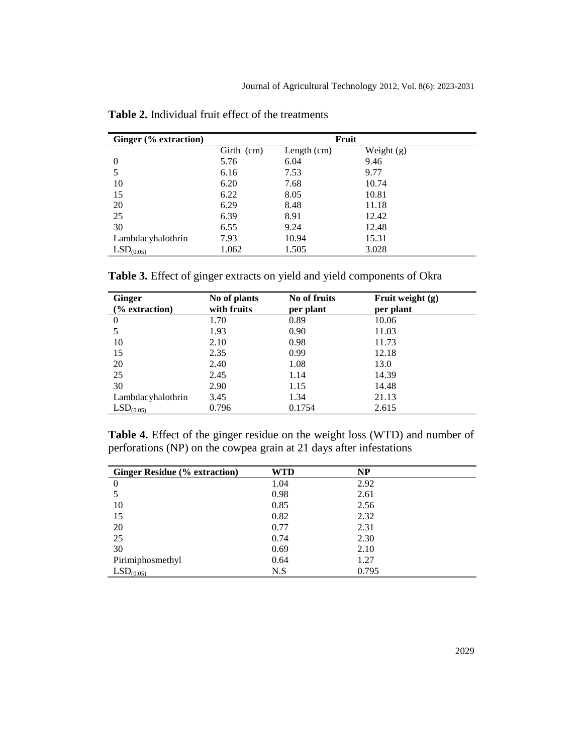| Ginger (% extraction) | Fruit      |               |              |  |
|-----------------------|------------|---------------|--------------|--|
|                       | Girth (cm) | Length $(cm)$ | Weight $(g)$ |  |
| $\theta$              | 5.76       | 6.04          | 9.46         |  |
|                       | 6.16       | 7.53          | 9.77         |  |
| 10                    | 6.20       | 7.68          | 10.74        |  |
| 15                    | 6.22       | 8.05          | 10.81        |  |
| 20                    | 6.29       | 8.48          | 11.18        |  |
| 25                    | 6.39       | 8.91          | 12.42        |  |
| 30                    | 6.55       | 9.24          | 12.48        |  |
| Lambdacyhalothrin     | 7.93       | 10.94         | 15.31        |  |
| LSD <sub>(0.05)</sub> | 1.062      | 1.505         | 3.028        |  |

**Table 2.** Individual fruit effect of the treatments

**Table 3.** Effect of ginger extracts on yield and yield components of Okra

| <b>Ginger</b><br>$\frac{6}{6}$ extraction) | No of plants<br>with fruits | No of fruits<br>per plant | Fruit weight $(g)$<br>per plant |
|--------------------------------------------|-----------------------------|---------------------------|---------------------------------|
| $\Omega$                                   | 1.70                        | 0.89                      | 10.06                           |
| 5                                          | 1.93                        | 0.90                      | 11.03                           |
| 10                                         | 2.10                        | 0.98                      | 11.73                           |
| 15                                         | 2.35                        | 0.99                      | 12.18                           |
| 20                                         | 2.40                        | 1.08                      | 13.0                            |
| 25                                         | 2.45                        | 1.14                      | 14.39                           |
| 30                                         | 2.90                        | 1.15                      | 14.48                           |
| Lambdacyhalothrin                          | 3.45                        | 1.34                      | 21.13                           |
| LSD <sub>(0.05)</sub>                      | 0.796                       | 0.1754                    | 2.615                           |

**Table 4.** Effect of the ginger residue on the weight loss (WTD) and number of perforations (NP) on the cowpea grain at 21 days after infestations

| <b>Ginger Residue (% extraction)</b> | WTD  | <b>NP</b> |
|--------------------------------------|------|-----------|
| $\overline{0}$                       | 1.04 | 2.92      |
|                                      | 0.98 | 2.61      |
| 10                                   | 0.85 | 2.56      |
| 15                                   | 0.82 | 2.32      |
| 20                                   | 0.77 | 2.31      |
| 25                                   | 0.74 | 2.30      |
| 30                                   | 0.69 | 2.10      |
| Pirimiphosmethyl                     | 0.64 | 1.27      |
| LSD <sub>(0.05)</sub>                | N.S  | 0.795     |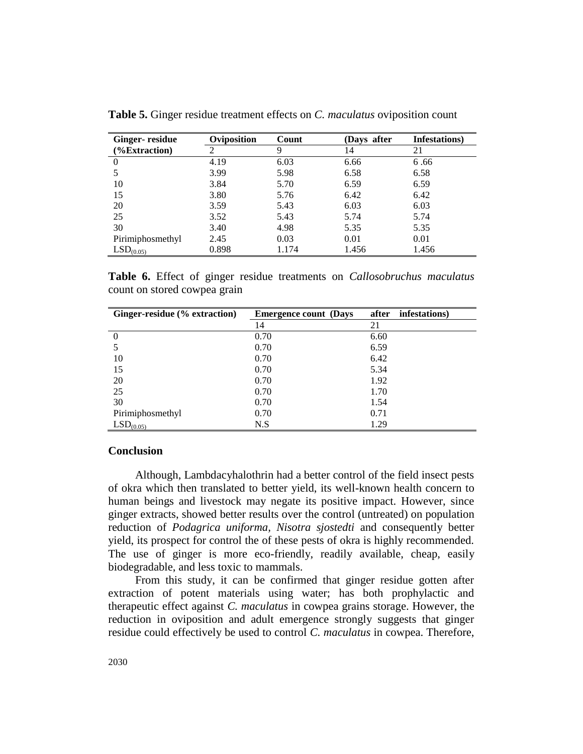| <b>Ginger-</b> residue | Oviposition | Count | (Davs after | Infestations) |
|------------------------|-------------|-------|-------------|---------------|
| (%Extraction)          | ∍           | 9     | 14          | 21            |
|                        | 4.19        | 6.03  | 6.66        | 6.66          |
|                        | 3.99        | 5.98  | 6.58        | 6.58          |
| 10                     | 3.84        | 5.70  | 6.59        | 6.59          |
| 15                     | 3.80        | 5.76  | 6.42        | 6.42          |
| 20                     | 3.59        | 5.43  | 6.03        | 6.03          |
| 25                     | 3.52        | 5.43  | 5.74        | 5.74          |
| 30                     | 3.40        | 4.98  | 5.35        | 5.35          |
| Pirimiphosmethyl       | 2.45        | 0.03  | 0.01        | 0.01          |
| LSD <sub>(0.05)</sub>  | 0.898       | 1.174 | 1.456       | 1.456         |

**Table 5.** Ginger residue treatment effects on *C. maculatus* oviposition count

**Table 6.** Effect of ginger residue treatments on *Callosobruchus maculatus*  count on stored cowpea grain

| Ginger-residue (% extraction) | <b>Emergence count</b> (Days) | infestations)<br>after |
|-------------------------------|-------------------------------|------------------------|
|                               | 14                            | 21                     |
|                               | 0.70                          | 6.60                   |
|                               | 0.70                          | 6.59                   |
| 10                            | 0.70                          | 6.42                   |
| 15                            | 0.70                          | 5.34                   |
| 20                            | 0.70                          | 1.92                   |
| 25                            | 0.70                          | 1.70                   |
| 30                            | 0.70                          | 1.54                   |
| Pirimiphosmethyl              | 0.70                          | 0.71                   |
| $LSD_{(0.05)}$                | N.S                           | 1.29                   |

## **Conclusion**

Although, Lambdacyhalothrin had a better control of the field insect pests of okra which then translated to better yield, its well-known health concern to human beings and livestock may negate its positive impact. However, since ginger extracts, showed better results over the control (untreated) on population reduction of *Podagrica uniforma, Nisotra sjostedti* and consequently better yield, its prospect for control the of these pests of okra is highly recommended. The use of ginger is more eco-friendly, readily available, cheap, easily biodegradable, and less toxic to mammals.

From this study, it can be confirmed that ginger residue gotten after extraction of potent materials using water; has both prophylactic and therapeutic effect against *C. maculatus* in cowpea grains storage. However, the reduction in oviposition and adult emergence strongly suggests that ginger residue could effectively be used to control *C. maculatus* in cowpea. Therefore,